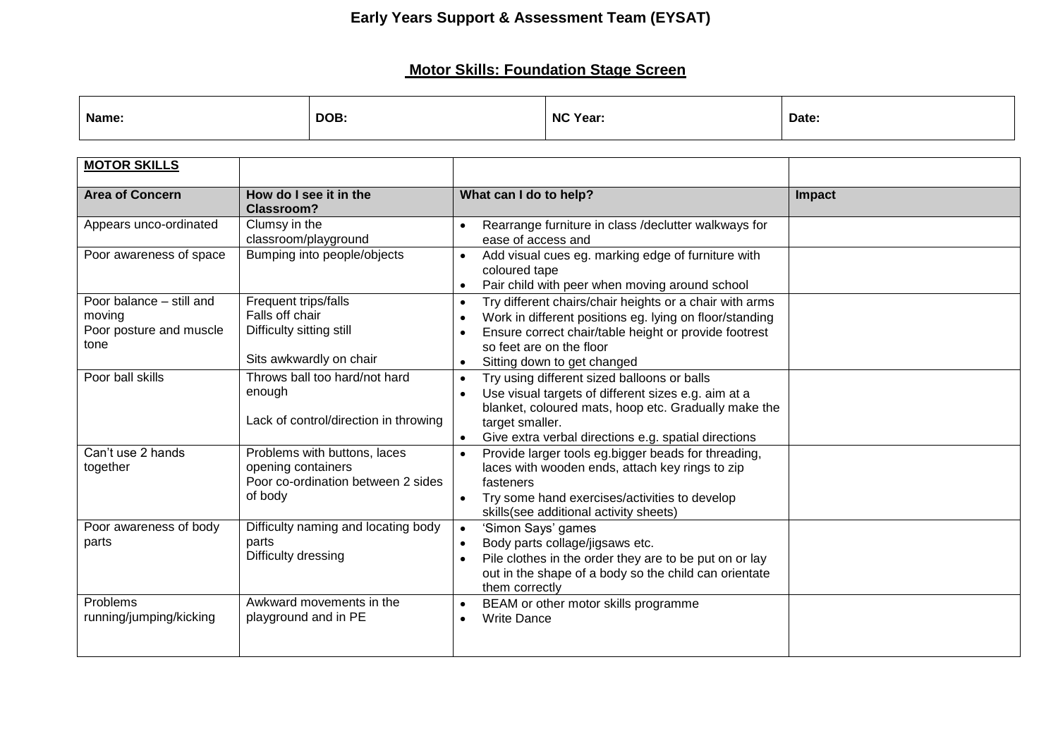## **Early Years Support & Assessment Team (EYSAT)**

## **Motor Skills: Foundation Stage Screen**

| Name: | DOB: | NC Year: | Date: |
|-------|------|----------|-------|
|       |      |          |       |

| <b>MOTOR SKILLS</b>                                                   |                                                                                                     |                                                                                                                                                                                                                                                                                            |               |
|-----------------------------------------------------------------------|-----------------------------------------------------------------------------------------------------|--------------------------------------------------------------------------------------------------------------------------------------------------------------------------------------------------------------------------------------------------------------------------------------------|---------------|
| <b>Area of Concern</b>                                                | How do I see it in the<br><b>Classroom?</b>                                                         | What can I do to help?                                                                                                                                                                                                                                                                     | <b>Impact</b> |
| Appears unco-ordinated                                                | Clumsy in the<br>classroom/playground                                                               | Rearrange furniture in class /declutter walkways for<br>$\bullet$<br>ease of access and                                                                                                                                                                                                    |               |
| Poor awareness of space                                               | Bumping into people/objects                                                                         | Add visual cues eg. marking edge of furniture with<br>$\bullet$<br>coloured tape<br>Pair child with peer when moving around school<br>$\bullet$                                                                                                                                            |               |
| Poor balance - still and<br>moving<br>Poor posture and muscle<br>tone | Frequent trips/falls<br>Falls off chair<br>Difficulty sitting still<br>Sits awkwardly on chair      | Try different chairs/chair heights or a chair with arms<br>$\bullet$<br>Work in different positions eg. lying on floor/standing<br>$\bullet$<br>Ensure correct chair/table height or provide footrest<br>$\bullet$<br>so feet are on the floor<br>Sitting down to get changed<br>$\bullet$ |               |
| Poor ball skills                                                      | Throws ball too hard/not hard<br>enough<br>Lack of control/direction in throwing                    | Try using different sized balloons or balls<br>$\bullet$<br>Use visual targets of different sizes e.g. aim at a<br>$\bullet$<br>blanket, coloured mats, hoop etc. Gradually make the<br>target smaller.<br>Give extra verbal directions e.g. spatial directions<br>$\bullet$               |               |
| Can't use 2 hands<br>together                                         | Problems with buttons, laces<br>opening containers<br>Poor co-ordination between 2 sides<br>of body | Provide larger tools eg.bigger beads for threading,<br>$\bullet$<br>laces with wooden ends, attach key rings to zip<br>fasteners<br>Try some hand exercises/activities to develop<br>$\bullet$<br>skills(see additional activity sheets)                                                   |               |
| Poor awareness of body<br>parts                                       | Difficulty naming and locating body<br>parts<br>Difficulty dressing                                 | 'Simon Says' games<br>$\bullet$<br>Body parts collage/jigsaws etc.<br>$\bullet$<br>Pile clothes in the order they are to be put on or lay<br>$\bullet$<br>out in the shape of a body so the child can orientate<br>them correctly                                                          |               |
| Problems<br>running/jumping/kicking                                   | Awkward movements in the<br>playground and in PE                                                    | BEAM or other motor skills programme<br>$\bullet$<br><b>Write Dance</b><br>$\bullet$                                                                                                                                                                                                       |               |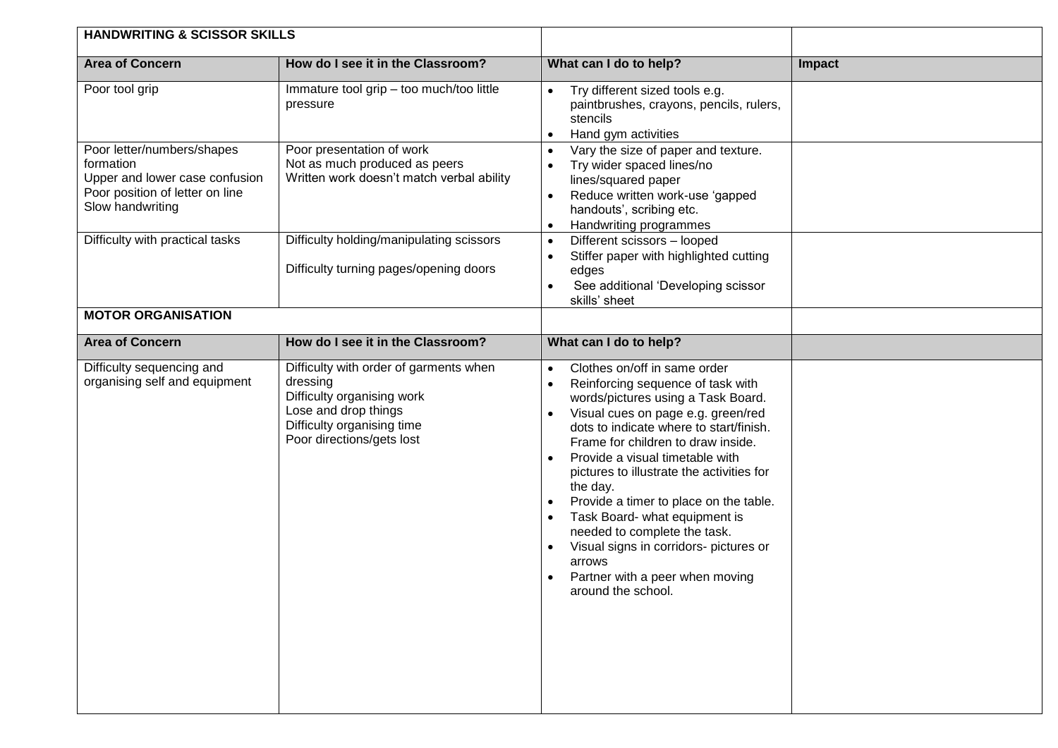| <b>HANDWRITING &amp; SCISSOR SKILLS</b>                                                                                          |                                                                                                                                                                     |                                                                                                                                                                                                                                                                                                                                                                                                                                                                                                                                                                                                                                                            |        |
|----------------------------------------------------------------------------------------------------------------------------------|---------------------------------------------------------------------------------------------------------------------------------------------------------------------|------------------------------------------------------------------------------------------------------------------------------------------------------------------------------------------------------------------------------------------------------------------------------------------------------------------------------------------------------------------------------------------------------------------------------------------------------------------------------------------------------------------------------------------------------------------------------------------------------------------------------------------------------------|--------|
| <b>Area of Concern</b>                                                                                                           | How do I see it in the Classroom?                                                                                                                                   | What can I do to help?                                                                                                                                                                                                                                                                                                                                                                                                                                                                                                                                                                                                                                     | Impact |
| Poor tool grip                                                                                                                   | Immature tool grip - too much/too little<br>pressure                                                                                                                | Try different sized tools e.g.<br>$\bullet$<br>paintbrushes, crayons, pencils, rulers,<br>stencils<br>Hand gym activities<br>$\bullet$                                                                                                                                                                                                                                                                                                                                                                                                                                                                                                                     |        |
| Poor letter/numbers/shapes<br>formation<br>Upper and lower case confusion<br>Poor position of letter on line<br>Slow handwriting | Poor presentation of work<br>Not as much produced as peers<br>Written work doesn't match verbal ability                                                             | Vary the size of paper and texture.<br>$\bullet$<br>Try wider spaced lines/no<br>$\bullet$<br>lines/squared paper<br>Reduce written work-use 'gapped<br>$\bullet$<br>handouts', scribing etc.<br>Handwriting programmes<br>$\bullet$                                                                                                                                                                                                                                                                                                                                                                                                                       |        |
| Difficulty with practical tasks                                                                                                  | Difficulty holding/manipulating scissors<br>Difficulty turning pages/opening doors                                                                                  | Different scissors - looped<br>$\bullet$<br>Stiffer paper with highlighted cutting<br>$\bullet$<br>edges<br>See additional 'Developing scissor<br>$\bullet$<br>skills' sheet                                                                                                                                                                                                                                                                                                                                                                                                                                                                               |        |
| <b>MOTOR ORGANISATION</b>                                                                                                        |                                                                                                                                                                     |                                                                                                                                                                                                                                                                                                                                                                                                                                                                                                                                                                                                                                                            |        |
| <b>Area of Concern</b>                                                                                                           | How do I see it in the Classroom?                                                                                                                                   | What can I do to help?                                                                                                                                                                                                                                                                                                                                                                                                                                                                                                                                                                                                                                     |        |
| Difficulty sequencing and<br>organising self and equipment                                                                       | Difficulty with order of garments when<br>dressing<br>Difficulty organising work<br>Lose and drop things<br>Difficulty organising time<br>Poor directions/gets lost | Clothes on/off in same order<br>$\bullet$<br>Reinforcing sequence of task with<br>$\bullet$<br>words/pictures using a Task Board.<br>Visual cues on page e.g. green/red<br>$\bullet$<br>dots to indicate where to start/finish.<br>Frame for children to draw inside.<br>Provide a visual timetable with<br>$\bullet$<br>pictures to illustrate the activities for<br>the day.<br>Provide a timer to place on the table.<br>$\bullet$<br>Task Board- what equipment is<br>$\bullet$<br>needed to complete the task.<br>Visual signs in corridors- pictures or<br>$\bullet$<br>arrows<br>Partner with a peer when moving<br>$\bullet$<br>around the school. |        |